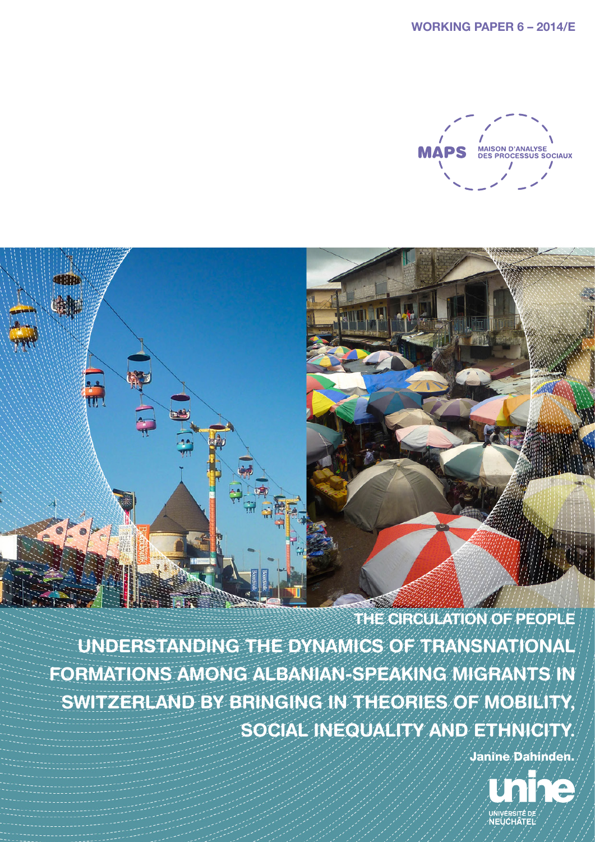

**THE CIRCULATION OF PEOPLE UNDERSTANDING THE DYNAMICS OF TRANSNATIONAL FORMATIONS AMONG ALBANIAN-SPEAKING MIGRANTS IN SWITZERLAND BY BRINGING IN THEORIES OF MOBILITY, SOCIAL INEQUALITY AND ETHNICITY.**

dillit

**Citile** 

**H** 

Janine Dahinden.

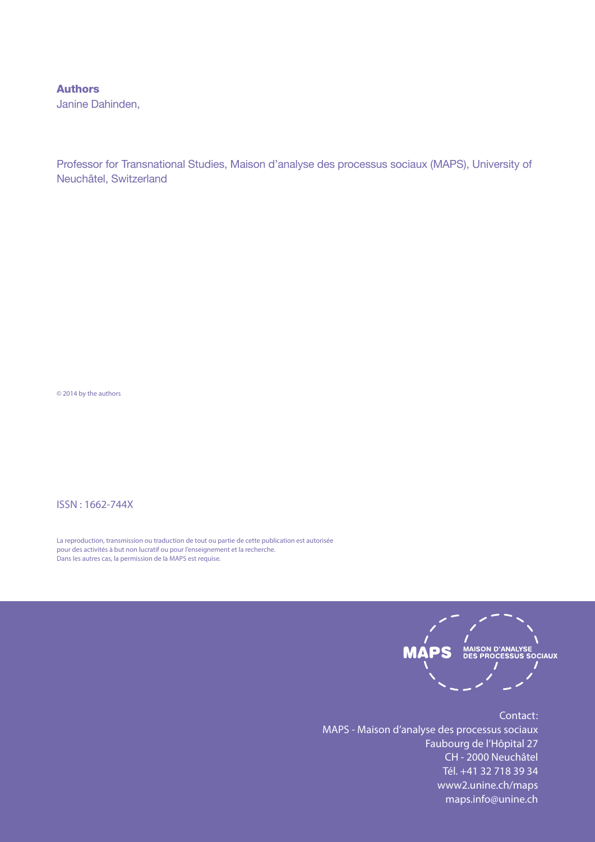#### Authors

Janine Dahinden,

Professor for Transnational Studies, Maison d'analyse des processus sociaux (MAPS), University of Neuchâtel, Switzerland

© 2014 by the authors

ISSN : 1662-744X

La reproduction, transmission ou traduction de tout ou partie de cette publication est autorisée pour des activités à but non lucratif ou pour l'enseignement et la recherche. Dans les autres cas, la permission de la MAPS est requise.



Contact: MAPS - Maison d'analyse des processus sociaux Faubourg de l'Hôpital 27 CH - 2000 Neuchâtel Tél. +41 32 718 39 34 www2.unine.ch/maps maps.info@unine.ch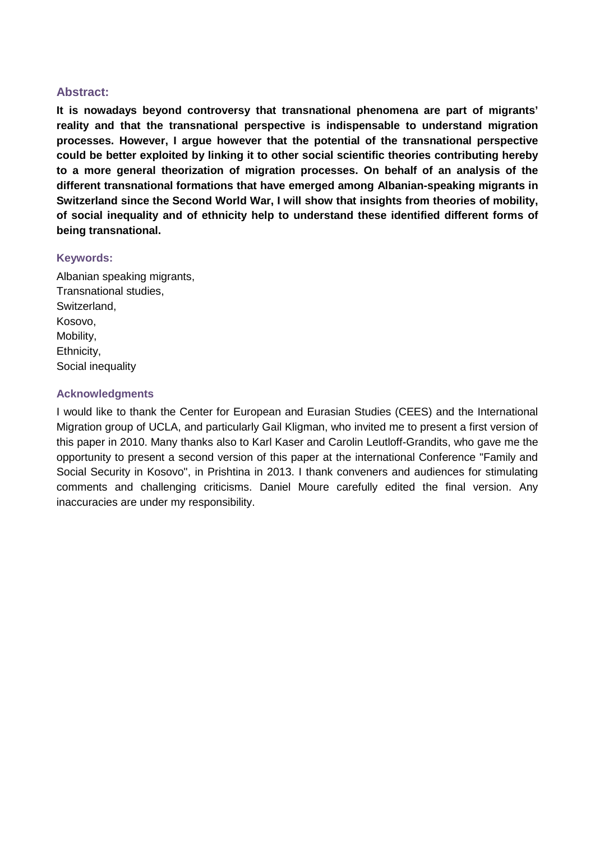### **Abstract:**

**It is nowadays beyond controversy that transnational phenomena are part of migrants' reality and that the transnational perspective is indispensable to understand migration processes. However, I argue however that the potential of the transnational perspective could be better exploited by linking it to other social scientific theories contributing hereby to a more general theorization of migration processes. On behalf of an analysis of the different transnational formations that have emerged among Albanian-speaking migrants in Switzerland since the Second World War, I will show that insights from theories of mobility, of social inequality and of ethnicity help to understand these identified different forms of being transnational.**

#### **Keywords:**

Albanian speaking migrants, Transnational studies, Switzerland, Kosovo, Mobility, Ethnicity, Social inequality

### **Acknowledgments**

I would like to thank the Center for European and Eurasian Studies (CEES) and the International Migration group of UCLA, and particularly Gail Kligman, who invited me to present a first version of this paper in 2010. Many thanks also to Karl Kaser and Carolin Leutloff-Grandits, who gave me the opportunity to present a second version of this paper at the international Conference "Family and Social Security in Kosovo", in Prishtina in 2013. I thank conveners and audiences for stimulating comments and challenging criticisms. Daniel Moure carefully edited the final version. Any inaccuracies are under my responsibility.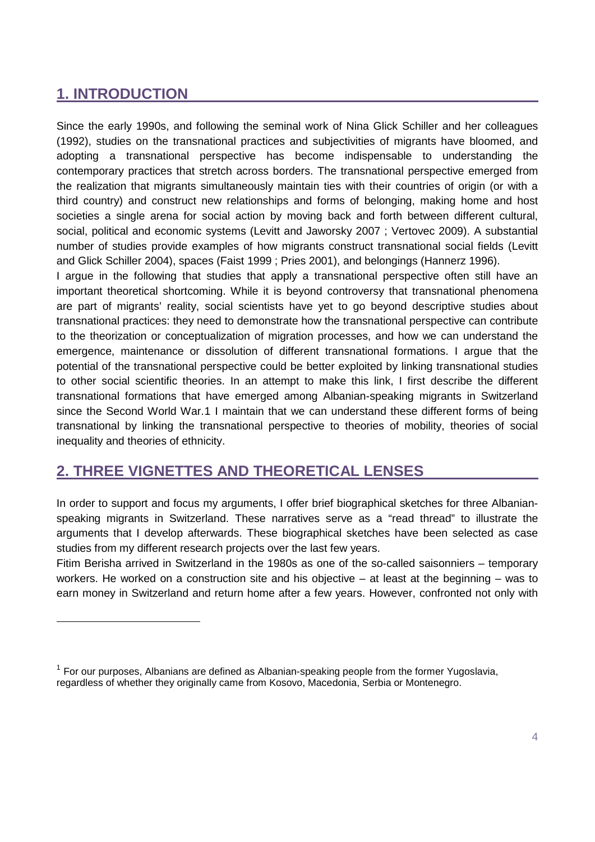# **1. INTRODUCTION**

-

Since the early 1990s, and following the seminal work of Nina Glick Schiller and her colleagues [\(1992\)](#page-18-0), studies on the transnational practices and subjectivities of migrants have bloomed, and adopting a transnational perspective has become indispensable to understanding the contemporary practices that stretch across borders. The transnational perspective emerged from the realization that migrants simultaneously maintain ties with their countries of origin (or with a third country) and construct new relationships and forms of belonging, making home and host societies a single arena for social action by moving back and forth between different cultural, social, political and economic systems [\(Levitt and Jaworsky 2007](#page-18-1) ; [Vertovec 2009\)](#page-19-0). A substantial number of studies provide examples of how migrants construct transnational social fields [\(Levitt](#page-18-2)  [and Glick Schiller 2004\)](#page-18-2), spaces [\(Faist 1999](#page-18-3) ; [Pries 2001\)](#page-19-1), and belongings [\(Hannerz 1996\)](#page-18-4).

I argue in the following that studies that apply a transnational perspective often still have an important theoretical shortcoming. While it is beyond controversy that transnational phenomena are part of migrants' reality, social scientists have yet to go beyond descriptive studies about transnational practices: they need to demonstrate how the transnational perspective can contribute to the theorization or conceptualization of migration processes, and how we can understand the emergence, maintenance or dissolution of different transnational formations. I argue that the potential of the transnational perspective could be better exploited by linking transnational studies to other social scientific theories. In an attempt to make this link, I first describe the different transnational formations that have emerged among Albanian-speaking migrants in Switzerland since the Second World War.[1](#page-3-0) I maintain that we can understand these different forms of being transnational by linking the transnational perspective to theories of mobility, theories of social inequality and theories of ethnicity.

# **2. THREE VIGNETTES AND THEORETICAL LENSES**

In order to support and focus my arguments, I offer brief biographical sketches for three Albanianspeaking migrants in Switzerland. These narratives serve as a "read thread" to illustrate the arguments that I develop afterwards. These biographical sketches have been selected as case studies from my different research projects over the last few years.

Fitim Berisha arrived in Switzerland in the 1980s as one of the so-called saisonniers – temporary workers. He worked on a construction site and his objective – at least at the beginning – was to earn money in Switzerland and return home after a few years. However, confronted not only with

<span id="page-3-0"></span> $1$  For our purposes, Albanians are defined as Albanian-speaking people from the former Yugoslavia, regardless of whether they originally came from Kosovo, Macedonia, Serbia or Montenegro.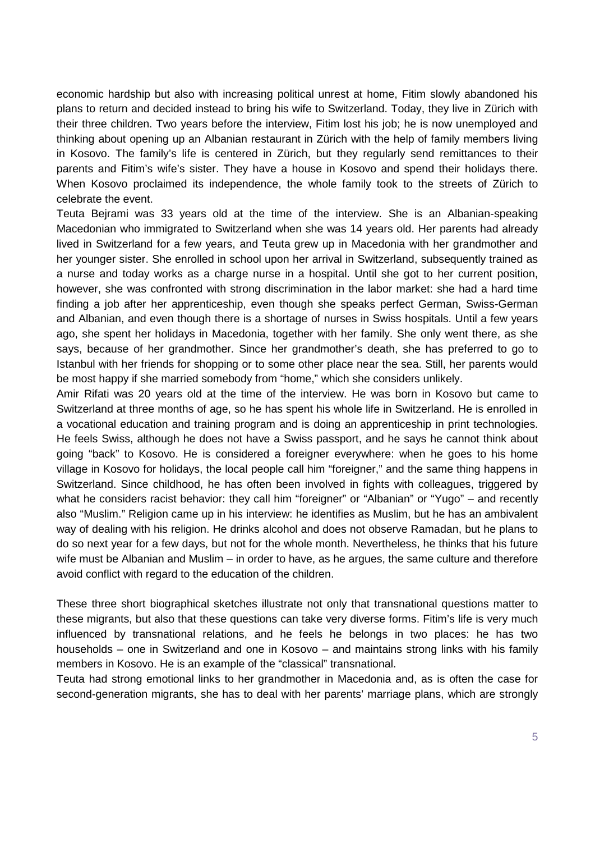economic hardship but also with increasing political unrest at home, Fitim slowly abandoned his plans to return and decided instead to bring his wife to Switzerland. Today, they live in Zürich with their three children. Two years before the interview, Fitim lost his job; he is now unemployed and thinking about opening up an Albanian restaurant in Zürich with the help of family members living in Kosovo. The family's life is centered in Zürich, but they regularly send remittances to their parents and Fitim's wife's sister. They have a house in Kosovo and spend their holidays there. When Kosovo proclaimed its independence, the whole family took to the streets of Zürich to celebrate the event.

Teuta Bejrami was 33 years old at the time of the interview. She is an Albanian-speaking Macedonian who immigrated to Switzerland when she was 14 years old. Her parents had already lived in Switzerland for a few years, and Teuta grew up in Macedonia with her grandmother and her younger sister. She enrolled in school upon her arrival in Switzerland, subsequently trained as a nurse and today works as a charge nurse in a hospital. Until she got to her current position, however, she was confronted with strong discrimination in the labor market: she had a hard time finding a job after her apprenticeship, even though she speaks perfect German, Swiss-German and Albanian, and even though there is a shortage of nurses in Swiss hospitals. Until a few years ago, she spent her holidays in Macedonia, together with her family. She only went there, as she says, because of her grandmother. Since her grandmother's death, she has preferred to go to Istanbul with her friends for shopping or to some other place near the sea. Still, her parents would be most happy if she married somebody from "home," which she considers unlikely.

Amir Rifati was 20 years old at the time of the interview. He was born in Kosovo but came to Switzerland at three months of age, so he has spent his whole life in Switzerland. He is enrolled in a vocational education and training program and is doing an [apprenticeship](http://dict.leo.org/ende?lp=ende&p=Ci4HO3kMAA&search=apprenticeship&trestr=0x8001) in print technologies. He feels Swiss, although he does not have a Swiss passport, and he says he cannot think about going "back" to Kosovo. He is considered a foreigner everywhere: when he goes to his home village in Kosovo for holidays, the local people call him "foreigner," and the same thing happens in Switzerland. Since childhood, he has often been involved in fights with colleagues, triggered by what he considers racist behavior: they call him "foreigner" or "Albanian" or "Yugo" – and recently also "Muslim." Religion came up in his interview: he identifies as Muslim, but he has an ambivalent way of dealing with his religion. He drinks alcohol and does not observe Ramadan, but he plans to do so next year for a few days, but not for the whole month. Nevertheless, he thinks that his future wife must be Albanian and Muslim – in order to have, as he argues, the same culture and therefore avoid conflict with regard to the education of the children.

These three short biographical sketches illustrate not only that transnational questions matter to these migrants, but also that these questions can take very diverse forms. Fitim's life is very much influenced by transnational relations, and he feels he belongs in two places: he has two households – one in Switzerland and one in Kosovo – and maintains strong links with his family members in Kosovo. He is an example of the "classical" transnational.

Teuta had strong emotional links to her grandmother in Macedonia and, as is often the case for second-generation migrants, she has to deal with her parents' marriage plans, which are strongly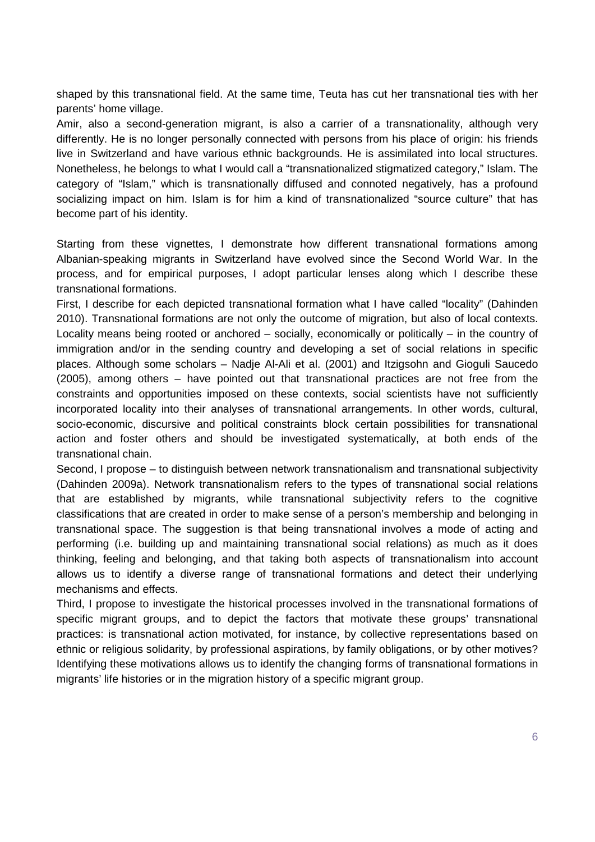shaped by this transnational field. At the same time, Teuta has cut her transnational ties with her parents' home village.

Amir, also a second-generation migrant, is also a carrier of a transnationality, although very differently. He is no longer personally connected with persons from his place of origin: his friends live in Switzerland and have various ethnic backgrounds. He is assimilated into local structures. Nonetheless, he belongs to what I would call a "transnationalized stigmatized category," Islam. The category of "Islam," which is transnationally diffused and connoted negatively, has a profound socializing impact on him. Islam is for him a kind of transnationalized "source culture" that has become part of his identity.

Starting from these vignettes, I demonstrate how different transnational formations among Albanian-speaking migrants in Switzerland have evolved since the Second World War. In the process, and for empirical purposes, I adopt particular lenses along which I describe these transnational formations.

First, I describe for each depicted transnational formation what I have called "locality" [\(Dahinden](#page-17-0)  [2010\)](#page-17-0). Transnational formations are not only the outcome of migration, but also of local contexts. Locality means being rooted or anchored – socially, economically or politically – in the country of immigration and/or in the sending country and developing a set of social relations in specific places. Although some scholars – Nadje Al-Ali et al. [\(2001\)](#page-17-1) and Itzigsohn and Gioguli Saucedo [\(2005\)](#page-18-5), among others – have pointed out that transnational practices are not free from the constraints and opportunities imposed on these contexts, social scientists have not sufficiently incorporated locality into their analyses of transnational arrangements. In other words, cultural, socio-economic, discursive and political constraints block certain possibilities for transnational action and foster others and should be investigated systematically, at both ends of the transnational chain.

Second, I propose – to distinguish between network transnationalism and transnational subjectivity [\(Dahinden 2009a\)](#page-17-2). Network transnationalism refers to the types of transnational social relations that are established by migrants, while transnational subjectivity refers to the cognitive classifications that are created in order to make sense of a person's membership and belonging in transnational space. The suggestion is that being transnational involves a mode of acting and performing (i.e. building up and maintaining transnational social relations) as much as it does thinking, feeling and belonging, and that taking both aspects of transnationalism into account allows us to identify a diverse range of transnational formations and detect their underlying mechanisms and effects.

Third, I propose to investigate the historical processes involved in the transnational formations of specific migrant groups, and to depict the factors that motivate these groups' transnational practices: is transnational action motivated, for instance, by collective representations based on ethnic or religious solidarity, by professional aspirations, by family obligations, or by other motives? Identifying these motivations allows us to identify the changing forms of transnational formations in migrants' life histories or in the migration history of a specific migrant group.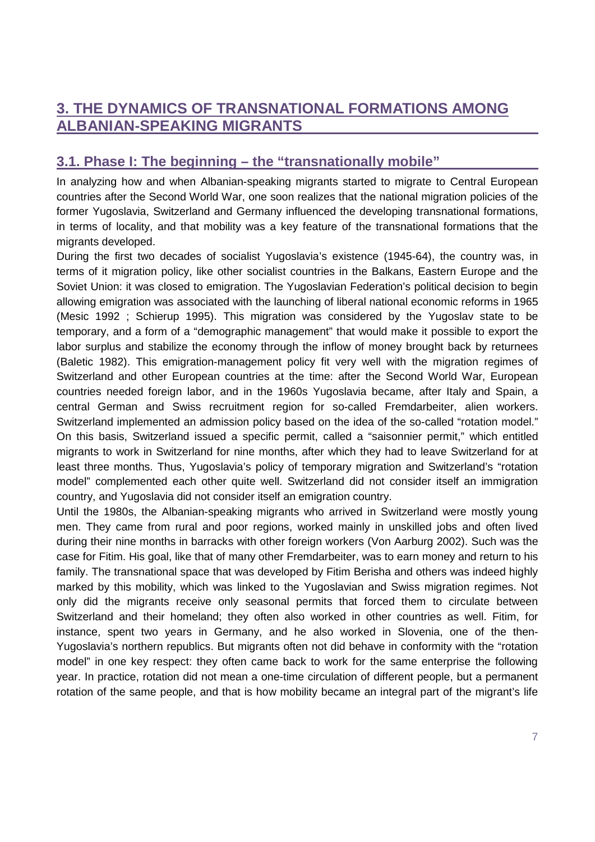# **3. THE DYNAMICS OF TRANSNATIONAL FORMATIONS AMONG ALBANIAN-SPEAKING MIGRANTS**

## **3.1. Phase I: The beginning – the "transnationally mobile"**

In analyzing how and when Albanian-speaking migrants started to migrate to Central European countries after the Second World War, one soon realizes that the national migration policies of the former Yugoslavia, Switzerland and Germany influenced the developing transnational formations, in terms of locality, and that mobility was a key feature of the transnational formations that the migrants developed.

During the first two decades of socialist Yugoslavia's existence (1945-64), the country was, in terms of it migration policy, like other socialist countries in the Balkans, Eastern Europe and the Soviet Union: it was closed to emigration. The Yugoslavian Federation's political decision to begin allowing emigration was associated with the launching of liberal national economic reforms in 1965 [\(Mesic 1992](#page-18-6) ; [Schierup 1995\)](#page-19-2). This migration was considered by the Yugoslav state to be temporary, and a form of a "demographic management" that would make it possible to export the labor surplus and stabilize the economy through the inflow of money brought back by returnees [\(Baletic 1982\)](#page-17-3). This emigration-management policy fit very well with the migration regimes of Switzerland and other European countries at the time: after the Second World War, European countries needed foreign labor, and in the 1960s Yugoslavia became, after Italy and Spain, a central German and Swiss recruitment region for so-called Fremdarbeiter, alien workers. Switzerland implemented an admission policy based on the idea of the so-called "rotation model." On this basis, Switzerland issued a specific permit, called a "saisonnier permit," which entitled migrants to work in Switzerland for nine months, after which they had to leave Switzerland for at least three months. Thus, Yugoslavia's policy of temporary migration and Switzerland's "rotation model" complemented each other quite well. Switzerland did not consider itself an immigration country, and Yugoslavia did not consider itself an emigration country.

Until the 1980s, the Albanian-speaking migrants who arrived in Switzerland were mostly young men. They came from rural and poor regions, worked mainly in unskilled jobs and often lived during their nine months in barracks with other foreign workers [\(Von Aarburg 2002\)](#page-19-3). Such was the case for Fitim. His goal, like that of many other Fremdarbeiter, was to earn money and return to his family. The transnational space that was developed by Fitim Berisha and others was indeed highly marked by this mobility, which was linked to the Yugoslavian and Swiss migration regimes. Not only did the migrants receive only seasonal permits that forced them to circulate between Switzerland and their homeland; they often also worked in other countries as well. Fitim, for instance, spent two years in Germany, and he also worked in Slovenia, one of the then-Yugoslavia's northern republics. But migrants often not did behave in conformity with the "rotation model" in one key respect: they often came back to work for the same enterprise the following year. In practice, rotation did not mean a one-time circulation of different people, but a permanent rotation of the same people, and that is how mobility became an integral part of the migrant's life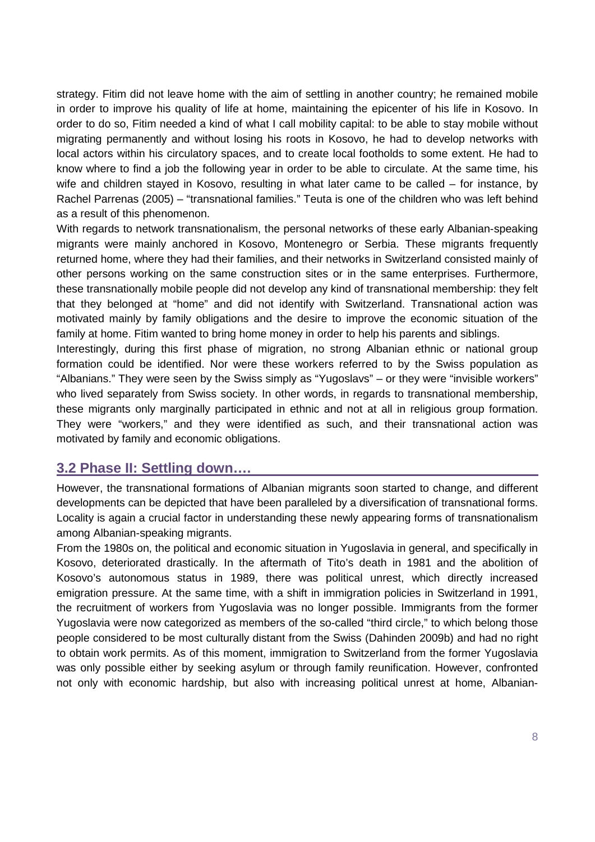strategy. Fitim did not leave home with the aim of settling in another country; he remained mobile in order to improve his quality of life at home, maintaining the epicenter of his life in Kosovo. In order to do so, Fitim needed a kind of what I call mobility capital: to be able to stay mobile without migrating permanently and without losing his roots in Kosovo, he had to develop networks with local actors within his circulatory spaces, and to create local footholds to some extent. He had to know where to find a job the following year in order to be able to circulate. At the same time, his wife and children stayed in Kosovo, resulting in what later came to be called – for instance, by Rachel Parrenas [\(2005\)](#page-18-7) – "transnational families." Teuta is one of the children who was left behind as a result of this phenomenon.

With regards to network transnationalism, the personal networks of these early Albanian-speaking migrants were mainly anchored in Kosovo, Montenegro or Serbia. These migrants frequently returned home, where they had their families, and their networks in Switzerland consisted mainly of other persons working on the same construction sites or in the same enterprises. Furthermore, these transnationally mobile people did not develop any kind of transnational membership: they felt that they belonged at "home" and did not identify with Switzerland. Transnational action was motivated mainly by family obligations and the desire to improve the economic situation of the family at home. Fitim wanted to bring home money in order to help his parents and siblings.

Interestingly, during this first phase of migration, no strong Albanian ethnic or national group formation could be identified. Nor were these workers referred to by the Swiss population as "Albanians." They were seen by the Swiss simply as "Yugoslavs" – or they were "invisible workers" who lived separately from Swiss society. In other words, in regards to transnational membership, these migrants only marginally participated in ethnic and not at all in religious group formation. They were "workers," and they were identified as such, and their transnational action was motivated by family and economic obligations.

### **3.2 Phase II: Settling down….**

However, the transnational formations of Albanian migrants soon started to change, and different developments can be depicted that have been paralleled by a diversification of transnational forms. Locality is again a crucial factor in understanding these newly appearing forms of transnationalism among Albanian-speaking migrants.

From the 1980s on, the political and economic situation in Yugoslavia in general, and specifically in Kosovo, deteriorated drastically. In the aftermath of Tito's death in 1981 and the abolition of Kosovo's autonomous status in 1989, there was political unrest, which directly increased emigration pressure. At the same time, with a shift in immigration policies in Switzerland in 1991, the recruitment of workers from Yugoslavia was no longer possible. Immigrants from the former Yugoslavia were now categorized as members of the so-called "third circle," to which belong those people considered to be most culturally distant from the Swiss [\(Dahinden 2009b\)](#page-17-4) and had no right to obtain work permits. As of this moment, immigration to Switzerland from the former Yugoslavia was only possible either by seeking asylum or through family reunification. However, confronted not only with economic hardship, but also with increasing political unrest at home, Albanian-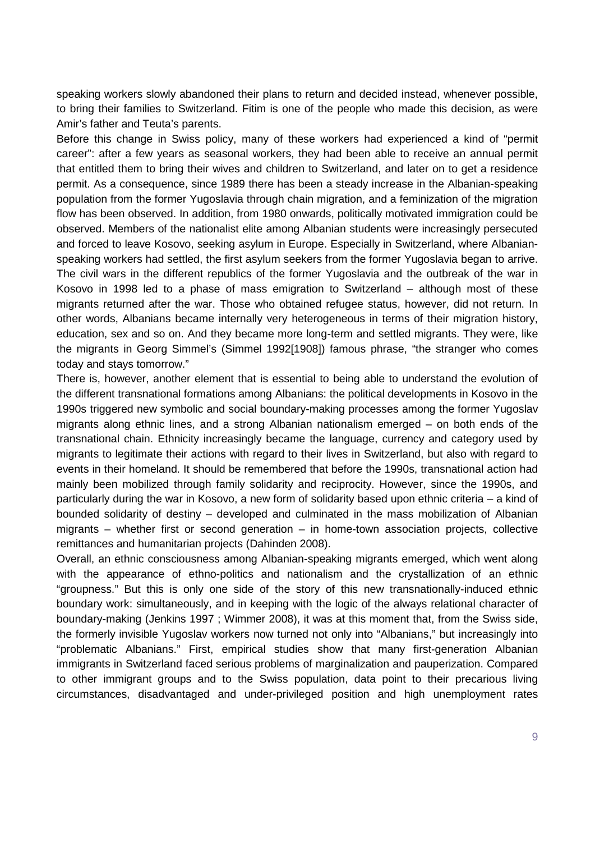speaking workers slowly abandoned their plans to return and decided instead, whenever possible, to bring their families to Switzerland. Fitim is one of the people who made this decision, as were Amir's father and Teuta's parents.

Before this change in Swiss policy, many of these workers had experienced a kind of "permit career": after a few years as seasonal workers, they had been able to receive an annual permit that entitled them to bring their wives and children to Switzerland, and later on to get a residence permit. As a consequence, since 1989 there has been a steady increase in the Albanian-speaking population from the former Yugoslavia through chain migration, and a feminization of the migration flow has been observed. In addition, from 1980 onwards, politically motivated immigration could be observed. Members of the nationalist elite among Albanian students were increasingly persecuted and forced to leave Kosovo, seeking asylum in Europe. Especially in Switzerland, where Albanianspeaking workers had settled, the first asylum seekers from the former Yugoslavia began to arrive. The civil wars in the different republics of the former Yugoslavia and the outbreak of the war in Kosovo in 1998 led to a phase of mass emigration to Switzerland – although most of these migrants returned after the war. Those who obtained refugee status, however, did not return. In other words, Albanians became internally very heterogeneous in terms of their migration history, education, sex and so on. And they became more long-term and settled migrants. They were, like the migrants in Georg Simmel's [\(Simmel 1992\[1908\]\)](#page-19-4) famous phrase, "the stranger who comes today and stays tomorrow."

There is, however, another element that is essential to being able to understand the evolution of the different transnational formations among Albanians: the political developments in Kosovo in the 1990s triggered new symbolic and social boundary-making processes among the former Yugoslav migrants along ethnic lines, and a strong Albanian nationalism emerged – on both ends of the transnational chain. Ethnicity increasingly became the language, currency and category used by migrants to legitimate their actions with regard to their lives in Switzerland, but also with regard to events in their homeland. It should be remembered that before the 1990s, transnational action had mainly been mobilized through family solidarity and reciprocity. However, since the 1990s, and particularly during the war in Kosovo, a new form of solidarity based upon ethnic criteria – a kind of bounded solidarity of destiny – developed and culminated in the mass mobilization of Albanian migrants – whether first or second generation – in home-town association projects, collective remittances and humanitarian projects [\(Dahinden 2008\)](#page-17-5).

Overall, an ethnic consciousness among Albanian-speaking migrants emerged, which went along with the appearance of ethno-politics and nationalism and the crystallization of an ethnic "groupness." But this is only one side of the story of this new transnationally-induced ethnic boundary work: simultaneously, and in keeping with the logic of the always relational character of boundary-making [\(Jenkins 1997](#page-18-8) ; [Wimmer 2008\)](#page-19-5), it was at this moment that, from the Swiss side, the formerly invisible Yugoslav workers now turned not only into "Albanians," but increasingly into "problematic Albanians." First, empirical studies show that many first-generation Albanian immigrants in Switzerland faced serious problems of marginalization and pauperization. Compared to other immigrant groups and to the Swiss population, data point to their precarious living circumstances, disadvantaged and under-privileged position and high unemployment rates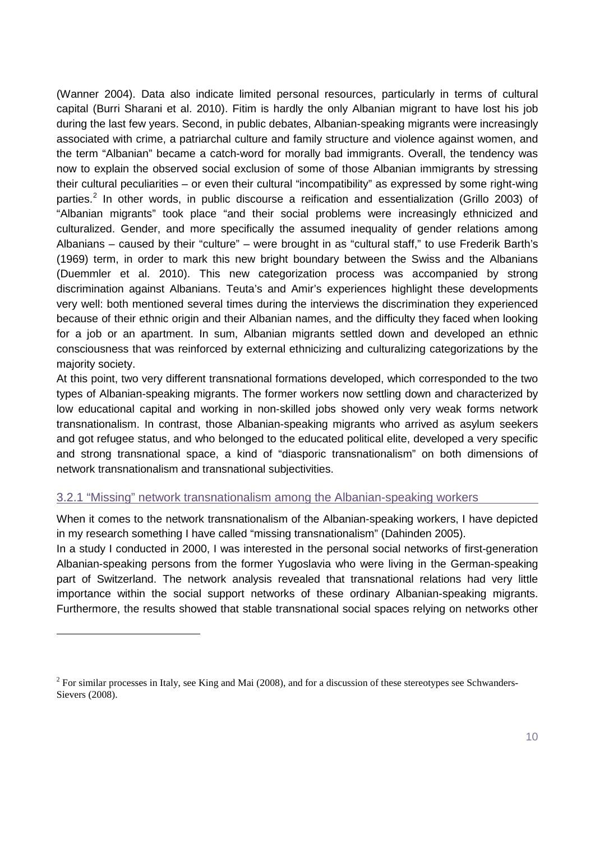[\(Wanner 2004\)](#page-19-6). Data also indicate limited personal resources, particularly in terms of cultural capital [\(Burri Sharani et al. 2010\)](#page-17-6). Fitim is hardly the only Albanian migrant to have lost his job during the last few years. Second, in public debates, Albanian-speaking migrants were increasingly associated with crime, a patriarchal culture and family structure and violence against women, and the term "Albanian" became a catch-word for morally bad immigrants. Overall, the tendency was now to explain the observed social exclusion of some of those Albanian immigrants by stressing their cultural peculiarities – or even their cultural "incompatibility" as expressed by some right-wing parties.[2](#page-9-0) In other words, in public discourse a reification and essentialization [\(Grillo 2003\)](#page-18-9) of "Albanian migrants" took place "and their social problems were increasingly ethnicized and culturalized. Gender, and more specifically the assumed inequality of gender relations among Albanians – caused by their "culture" – were brought in as "cultural staff," to use Frederik Barth's [\(1969\)](#page-17-7) term, in order to mark this new bright boundary between the Swiss and the Albanians [\(Duemmler et al. 2010\)](#page-17-8). This new categorization process was accompanied by strong discrimination against Albanians. Teuta's and Amir's experiences highlight these developments very well: both mentioned several times during the interviews the discrimination they experienced because of their ethnic origin and their Albanian names, and the difficulty they faced when looking for a job or an apartment. In sum, Albanian migrants settled down and developed an ethnic consciousness that was reinforced by external ethnicizing and culturalizing categorizations by the majority society.

At this point, two very different transnational formations developed, which corresponded to the two types of Albanian-speaking migrants. The former workers now settling down and characterized by low educational capital and working in non-skilled jobs showed only very weak forms network transnationalism. In contrast, those Albanian-speaking migrants who arrived as asylum seekers and got refugee status, and who belonged to the educated political elite, developed a very specific and strong transnational space, a kind of "diasporic transnationalism" on both dimensions of network transnationalism and transnational subjectivities.

#### 3.2.1 "Missing" network transnationalism among the Albanian-speaking workers

-

When it comes to the network transnationalism of the Albanian-speaking workers, I have depicted in my research something I have called "missing transnationalism" [\(Dahinden 2005\)](#page-17-9).

In a study I conducted in 2000, I was interested in the personal social networks of first-generation Albanian-speaking persons from the former Yugoslavia who were living in the German-speaking part of Switzerland. The network analysis revealed that transnational relations had very little importance within the social support networks of these ordinary Albanian-speaking migrants. Furthermore, the results showed that stable transnational social spaces relying on networks other

<span id="page-9-0"></span><sup>&</sup>lt;sup>2</sup> For similar processes in Italy, see King and Mai [\(2008\)](#page-18-10), and for a discussion of these stereotypes see Schwanders-Sievers [\(2008\)](#page-19-7).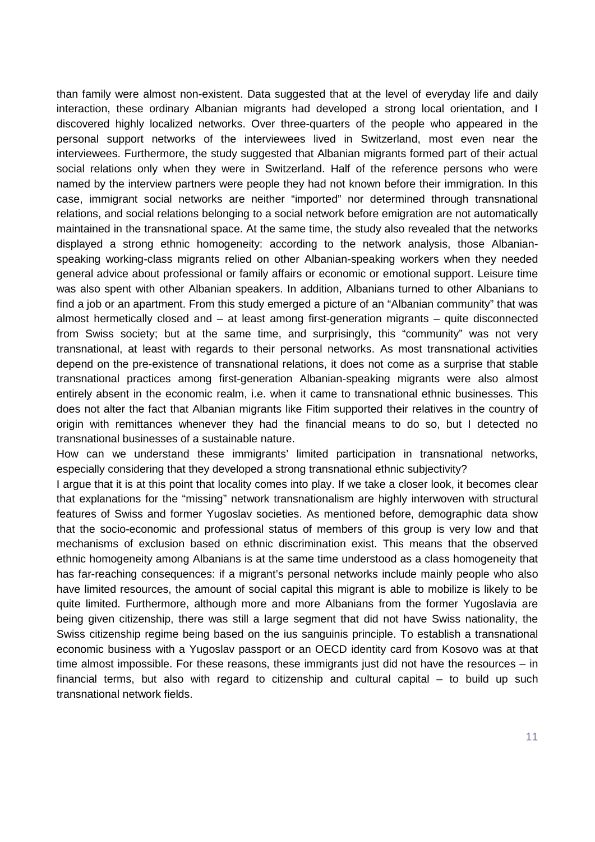than family were almost non-existent. Data suggested that at the level of everyday life and daily interaction, these ordinary Albanian migrants had developed a strong local orientation, and I discovered highly localized networks. Over three-quarters of the people who appeared in the personal support networks of the interviewees lived in Switzerland, most even near the interviewees. Furthermore, the study suggested that Albanian migrants formed part of their actual social relations only when they were in Switzerland. Half of the reference persons who were named by the interview partners were people they had not known before their immigration. In this case, immigrant social networks are neither "imported" nor determined through transnational relations, and social relations belonging to a social network before emigration are not automatically maintained in the transnational space. At the same time, the study also revealed that the networks displayed a strong ethnic homogeneity: according to the network analysis, those Albanianspeaking working-class migrants relied on other Albanian-speaking workers when they needed general advice about professional or family affairs or economic or emotional support. Leisure time was also spent with other Albanian speakers. In addition, Albanians turned to other Albanians to find a job or an apartment. From this study emerged a picture of an "Albanian community" that was almost hermetically closed and – at least among first-generation migrants – quite disconnected from Swiss society; but at the same time, and surprisingly, this "community" was not very transnational, at least with regards to their personal networks. As most transnational activities depend on the pre-existence of transnational relations, it does not come as a surprise that stable transnational practices among first-generation Albanian-speaking migrants were also almost entirely absent in the economic realm, i.e. when it came to transnational ethnic businesses. This does not alter the fact that Albanian migrants like Fitim supported their relatives in the country of origin with remittances whenever they had the financial means to do so, but I detected no transnational businesses of a sustainable nature.

How can we understand these immigrants' limited participation in transnational networks, especially considering that they developed a strong transnational ethnic subjectivity?

I argue that it is at this point that locality comes into play. If we take a closer look, it becomes clear that explanations for the "missing" network transnationalism are highly interwoven with structural features of Swiss and former Yugoslav societies. As mentioned before, demographic data show that the socio-economic and professional status of members of this group is very low and that mechanisms of exclusion based on ethnic discrimination exist. This means that the observed ethnic homogeneity among Albanians is at the same time understood as a class homogeneity that has far-reaching consequences: if a migrant's personal networks include mainly people who also have limited resources, the amount of social capital this migrant is able to mobilize is likely to be quite limited. Furthermore, although more and more Albanians from the former Yugoslavia are being given citizenship, there was still a large segment that did not have Swiss nationality, the Swiss citizenship regime being based on the ius sanguinis principle. To establish a transnational economic business with a Yugoslav passport or an OECD identity card from Kosovo was at that time almost impossible. For these reasons, these immigrants just did not have the resources – in financial terms, but also with regard to citizenship and cultural capital – to build up such transnational network fields.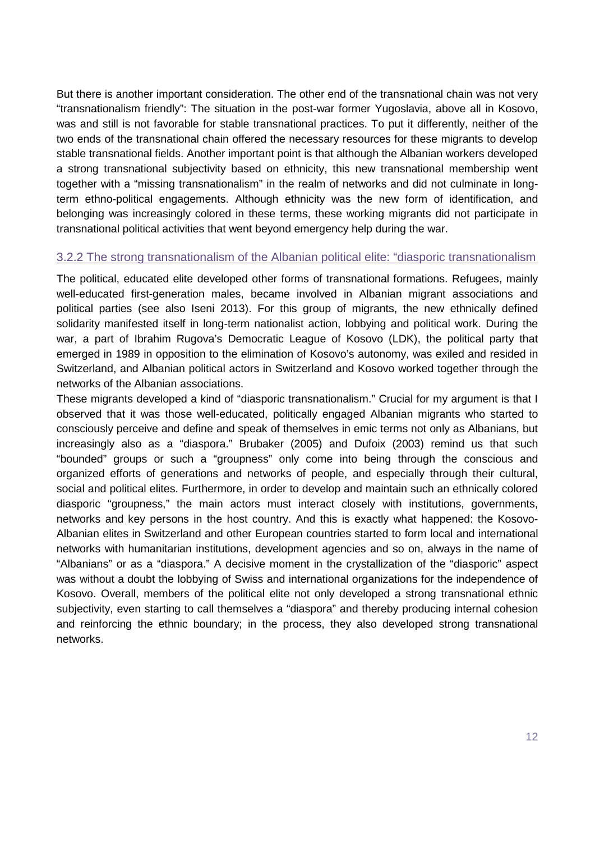But there is another important consideration. The other end of the transnational chain was not very "transnationalism friendly": The situation in the post-war former Yugoslavia, above all in Kosovo, was and still is not favorable for stable transnational practices. To put it differently, neither of the two ends of the transnational chain offered the necessary resources for these migrants to develop stable transnational fields. Another important point is that although the Albanian workers developed a strong transnational subjectivity based on ethnicity, this new transnational membership went together with a "missing transnationalism" in the realm of networks and did not culminate in longterm ethno-political engagements. Although ethnicity was the new form of identification, and belonging was increasingly colored in these terms, these working migrants did not participate in transnational political activities that went beyond emergency help during the war.

#### 3.2.2 The strong transnationalism of the Albanian political elite: "diasporic transnationalism

The political, educated elite developed other forms of transnational formations. Refugees, mainly well-educated first-generation males, became involved in Albanian migrant associations and political parties [\(see also Iseni 2013\)](#page-18-11). For this group of migrants, the new ethnically defined solidarity manifested itself in long-term nationalist action, lobbying and political work. During the war, a part of Ibrahim Rugova's Democratic League of Kosovo (LDK), the political party that emerged in 1989 in opposition to the elimination of Kosovo's autonomy, was exiled and resided in Switzerland, and Albanian political actors in Switzerland and Kosovo worked together through the networks of the Albanian associations.

These migrants developed a kind of "diasporic transnationalism." Crucial for my argument is that I observed that it was those well-educated, politically engaged Albanian migrants who started to consciously perceive and define and speak of themselves in emic terms not only as Albanians, but increasingly also as a "diaspora." Brubaker [\(2005\)](#page-17-10) and Dufoix [\(2003\)](#page-17-11) remind us that such "bounded" groups or such a "groupness" only come into being through the conscious and organized efforts of generations and networks of people, and especially through their cultural, social and political elites. Furthermore, in order to develop and maintain such an ethnically colored diasporic "groupness," the main actors must interact closely with institutions, governments, networks and key persons in the host country. And this is exactly what happened: the Kosovo-Albanian elites in Switzerland and other European countries started to form local and international networks with humanitarian institutions, development agencies and so on, always in the name of "Albanians" or as a "diaspora." A decisive moment in the crystallization of the "diasporic" aspect was without a doubt the lobbying of Swiss and international organizations for the independence of Kosovo. Overall, members of the political elite not only developed a strong transnational ethnic subjectivity, even starting to call themselves a "diaspora" and thereby producing internal cohesion and reinforcing the ethnic boundary; in the process, they also developed strong transnational networks.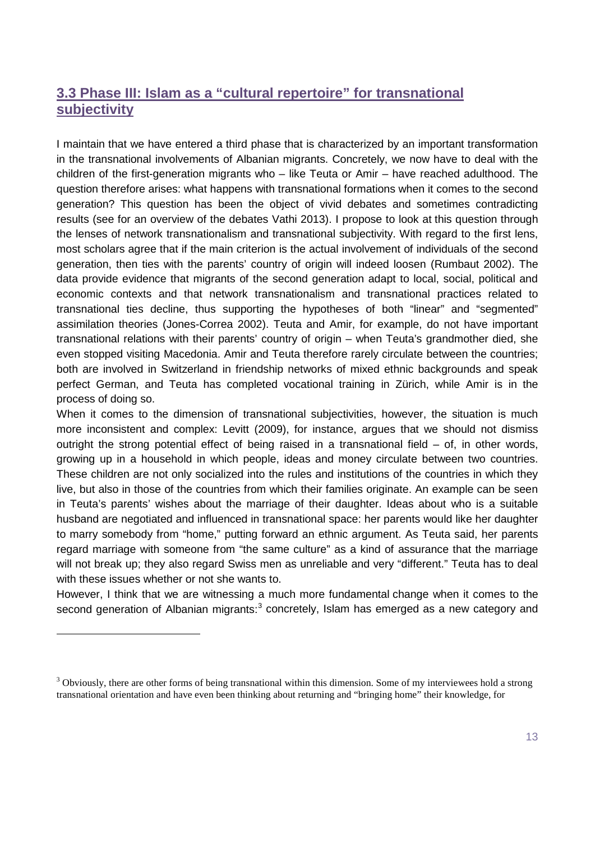### **3.3 Phase III: Islam as a "cultural repertoire" for transnational subjectivity**

I maintain that we have entered a third phase that is characterized by an important transformation in the transnational involvements of Albanian migrants. Concretely, we now have to deal with the children of the first-generation migrants who – like Teuta or Amir – have reached adulthood. The question therefore arises: what happens with transnational formations when it comes to the second generation? This question has been the object of vivid debates and sometimes contradicting results [\(see for an overview of the debates Vathi 2013\)](#page-19-8). I propose to look at this question through the lenses of network transnationalism and transnational subjectivity. With regard to the first lens, most scholars agree that if the main criterion is the actual involvement of individuals of the second generation, then ties with the parents' country of origin will indeed loosen [\(Rumbaut 2002\)](#page-19-9). The data provide evidence that migrants of the second generation adapt to local, social, political and economic contexts and that network transnationalism and transnational practices related to transnational ties decline, thus supporting the hypotheses of both "linear" and "segmented" assimilation theories [\(Jones-Correa 2002\)](#page-18-12). Teuta and Amir, for example, do not have important transnational relations with their parents' country of origin – when Teuta's grandmother died, she even stopped visiting Macedonia. Amir and Teuta therefore rarely circulate between the countries; both are involved in Switzerland in friendship networks of mixed ethnic backgrounds and speak perfect German, and Teuta has completed vocational training in Zürich, while Amir is in the process of doing so.

When it comes to the dimension of transnational subjectivities, however, the situation is much more inconsistent and complex: Levitt [\(2009\)](#page-18-13), for instance, argues that we should not dismiss outright the strong potential effect of being raised in a transnational field  $-$  of, in other words, growing up in a household in which people, ideas and money circulate between two countries. These children are not only socialized into the rules and institutions of the countries in which they live, but also in those of the countries from which their families originate. An example can be seen in Teuta's parents' wishes about the marriage of their daughter. Ideas about who is a suitable husband are negotiated and influenced in transnational space: her parents would like her daughter to marry somebody from "home," putting forward an ethnic argument. As Teuta said, her parents regard marriage with someone from "the same culture" as a kind of assurance that the marriage will not break up; they also regard Swiss men as unreliable and very "different." Teuta has to deal with these issues whether or not she wants to.

However, I think that we are witnessing a much more fundamental change when it comes to the second generation of Albanian migrants:<sup>[3](#page-12-0)</sup> concretely, Islam has emerged as a new category and

-

<span id="page-12-0"></span> $3$  Obviously, there are other forms of being transnational within this dimension. Some of my interviewees hold a strong transnational orientation and have even been thinking about returning and "bringing home" their knowledge, for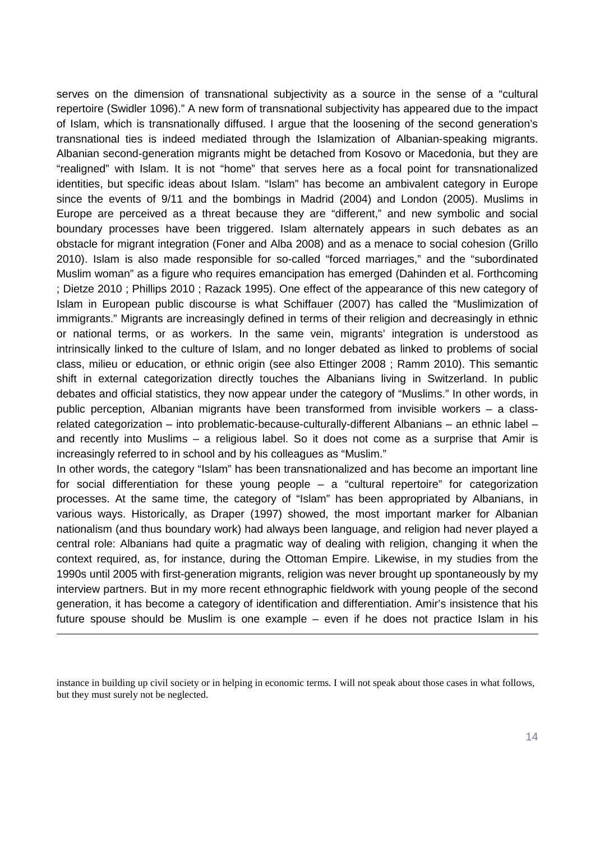serves on the dimension of transnational subjectivity as a source in the sense of a "cultural repertoire [\(Swidler 1096\)](#page-19-10)." A new form of transnational subjectivity has appeared due to the impact of Islam, which is transnationally diffused. I argue that the loosening of the second generation's transnational ties is indeed mediated through the Islamization of Albanian-speaking migrants. Albanian second-generation migrants might be detached from Kosovo or Macedonia, but they are "realigned" with Islam. It is not "home" that serves here as a focal point for transnationalized identities, but specific ideas about Islam. "Islam" has become an ambivalent category in Europe since the events of 9/11 and the bombings in Madrid (2004) and London (2005). Muslims in Europe are perceived as a threat because they are "different," and new symbolic and social boundary processes have been triggered. Islam alternately appears in such debates as an obstacle for migrant integration [\(Foner and Alba 2008\)](#page-18-14) and as a menace to social cohesion [\(Grillo](#page-18-15)  [2010\)](#page-18-15). Islam is also made responsible for so-called "forced marriages," and the "subordinated Muslim woman" as a figure who requires emancipation has emerged [\(Dahinden et al. Forthcoming](#page-17-12) ; [Dietze 2010](#page-17-13) ; [Phillips 2010](#page-18-16) ; [Razack 1995\)](#page-19-11). One effect of the appearance of this new category of Islam in European public discourse is what Schiffauer [\(2007\)](#page-19-12) has called the "Muslimization of immigrants." Migrants are increasingly defined in terms of their religion and decreasingly in ethnic or national terms, or as workers. In the same vein, migrants' integration is understood as intrinsically linked to the culture of Islam, and no longer debated as linked to problems of social class, milieu or education, or ethnic origin (see also [Ettinger 2008](#page-17-14) ; [Ramm 2010\)](#page-19-13). This semantic shift in external categorization directly touches the Albanians living in Switzerland. In public debates and official statistics, they now appear under the category of "Muslims." In other words, in public perception, Albanian migrants have been transformed from invisible workers – a classrelated categorization – into problematic-because-culturally-different Albanians – an ethnic label – and recently into Muslims – a religious label. So it does not come as a surprise that Amir is increasingly referred to in school and by his colleagues as "Muslim."

In other words, the category "Islam" has been transnationalized and has become an important line for social differentiation for these young people – a "cultural repertoire" for categorization processes. At the same time, the category of "Islam" has been appropriated by Albanians, in various ways. Historically, as Draper [\(1997\)](#page-17-15) showed, the most important marker for Albanian nationalism (and thus boundary work) had always been language, and religion had never played a central role: Albanians had quite a pragmatic way of dealing with religion, changing it when the context required, as, for instance, during the Ottoman Empire. Likewise, in my studies from the 1990s until 2005 with first-generation migrants, religion was never brought up spontaneously by my interview partners. But in my more recent ethnographic fieldwork with young people of the second generation, it has become a category of identification and differentiation. Amir's insistence that his future spouse should be Muslim is one example – even if he does not practice Islam in his

-

instance in building up civil society or in helping in economic terms. I will not speak about those cases in what follows, but they must surely not be neglected.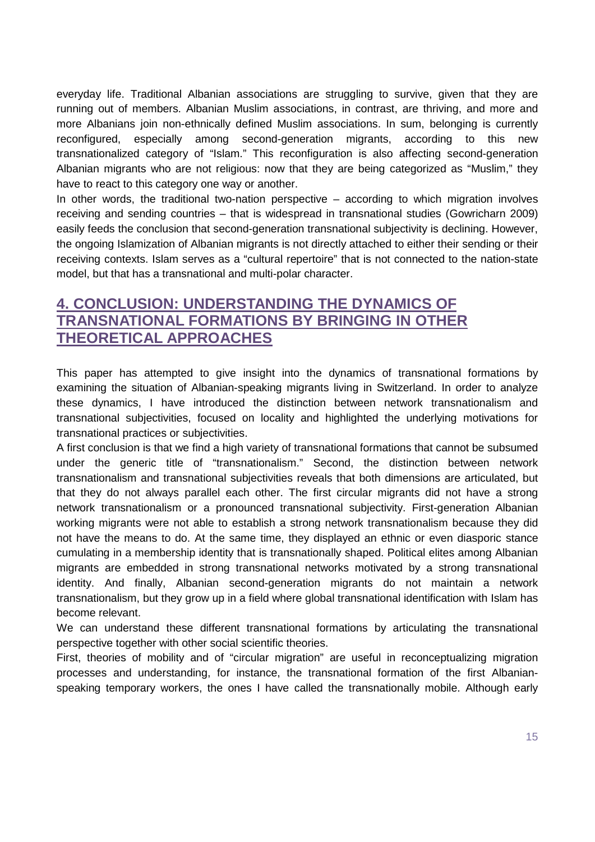everyday life. Traditional Albanian associations are struggling to survive, given that they are running out of members. Albanian Muslim associations, in contrast, are thriving, and more and more Albanians join non-ethnically defined Muslim associations. In sum, belonging is currently reconfigured, especially among second-generation migrants, according to this new transnationalized category of "Islam." This reconfiguration is also affecting second-generation Albanian migrants who are not religious: now that they are being categorized as "Muslim," they have to react to this category one way or another.

In other words, the traditional two-nation perspective – according to which migration involves receiving and sending countries – that is widespread in transnational studies [\(Gowricharn 2009\)](#page-18-17) easily feeds the conclusion that second-generation transnational subjectivity is declining. However, the ongoing Islamization of Albanian migrants is not directly attached to either their sending or their receiving contexts. Islam serves as a "cultural repertoire" that is not connected to the nation-state model, but that has a transnational and multi-polar character.

# **4. CONCLUSION: UNDERSTANDING THE DYNAMICS OF TRANSNATIONAL FORMATIONS BY BRINGING IN OTHER THEORETICAL APPROACHES**

This paper has attempted to give insight into the dynamics of transnational formations by examining the situation of Albanian-speaking migrants living in Switzerland. In order to analyze these dynamics, I have introduced the distinction between network transnationalism and transnational subjectivities, focused on locality and highlighted the underlying motivations for transnational practices or subjectivities.

A first conclusion is that we find a high variety of transnational formations that cannot be subsumed under the generic title of "transnationalism." Second, the distinction between network transnationalism and transnational subjectivities reveals that both dimensions are articulated, but that they do not always parallel each other. The first circular migrants did not have a strong network transnationalism or a pronounced transnational subjectivity. First-generation Albanian working migrants were not able to establish a strong network transnationalism because they did not have the means to do. At the same time, they displayed an ethnic or even diasporic stance cumulating in a membership identity that is transnationally shaped. Political elites among Albanian migrants are embedded in strong transnational networks motivated by a strong transnational identity. And finally, Albanian second-generation migrants do not maintain a network transnationalism, but they grow up in a field where global transnational identification with Islam has become relevant.

We can understand these different transnational formations by articulating the transnational perspective together with other social scientific theories.

First, theories of mobility and of "circular migration" are useful in reconceptualizing migration processes and understanding, for instance, the transnational formation of the first Albanianspeaking temporary workers, the ones I have called the transnationally mobile. Although early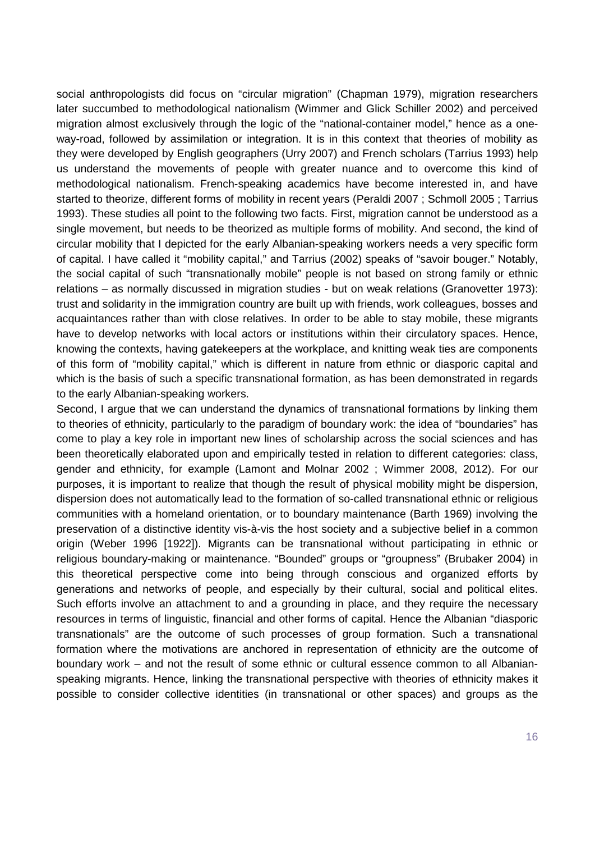social anthropologists did focus on "circular migration" [\(Chapman 1979\)](#page-17-16), migration researchers later succumbed to methodological nationalism [\(Wimmer and Glick Schiller 2002\)](#page-20-0) and perceived migration almost exclusively through the logic of the "national-container model," hence as a oneway-road, followed by assimilation or integration. It is in this context that theories of mobility as they were developed by English geographers [\(Urry 2007\)](#page-19-14) and French scholars [\(Tarrius 1993\)](#page-19-15) help us understand the movements of people with greater nuance and to overcome this kind of methodological nationalism. French-speaking academics have become interested in, and have started to theorize, different forms of mobility in recent years [\(Peraldi 2007](#page-18-18) ; [Schmoll 2005](#page-19-16) ; [Tarrius](#page-19-15)  [1993\)](#page-19-15). These studies all point to the following two facts. First, migration cannot be understood as a single movement, but needs to be theorized as multiple forms of mobility. And second, the kind of circular mobility that I depicted for the early Albanian-speaking workers needs a very specific form of capital. I have called it "mobility capital," and Tarrius [\(2002\)](#page-19-17) speaks of "savoir bouger." Notably, the social capital of such "transnationally mobile" people is not based on strong family or ethnic relations – as normally discussed in migration studies - but on weak relations [\(Granovetter 1973\)](#page-18-19): trust and solidarity in the immigration country are built up with friends, work colleagues, bosses and acquaintances rather than with close relatives. In order to be able to stay mobile, these migrants have to develop networks with local actors or institutions within their circulatory spaces. Hence, knowing the contexts, having gatekeepers at the workplace, and knitting weak ties are components of this form of "mobility capital," which is different in nature from ethnic or diasporic capital and which is the basis of such a specific transnational formation, as has been demonstrated in regards to the early Albanian-speaking workers.

Second, I argue that we can understand the dynamics of transnational formations by linking them to theories of ethnicity, particularly to the paradigm of boundary work: the idea of "boundaries" has come to play a key role in important new lines of scholarship across the social sciences and has been theoretically elaborated upon and empirically tested in relation to different categories: class, gender and ethnicity, for example [\(Lamont and Molnar 2002](#page-18-20) ; [Wimmer 2008,](#page-19-5) [2012\)](#page-20-1). For our purposes, it is important to realize that though the result of physical mobility might be dispersion, dispersion does not automatically lead to the formation of so-called transnational ethnic or religious communities with a homeland orientation, or to boundary maintenance (Barth 1969) involving the preservation of a distinctive identity vis-à-vis the host society and a subjective belief in a common origin [\(Weber 1996 \[1922\]\)](#page-19-18). Migrants can be transnational without participating in ethnic or religious boundary-making or maintenance. "Bounded" groups or "groupness" (Brubaker 2004) in this theoretical perspective come into being through conscious and organized efforts by generations and networks of people, and especially by their cultural, social and political elites. Such efforts involve an attachment to and a grounding in place, and they require the necessary resources in terms of linguistic, financial and other forms of capital. Hence the Albanian "diasporic transnationals" are the outcome of such processes of group formation. Such a transnational formation where the motivations are anchored in representation of ethnicity are the outcome of boundary work – and not the result of some ethnic or cultural essence common to all Albanianspeaking migrants. Hence, linking the transnational perspective with theories of ethnicity makes it possible to consider collective identities (in transnational or other spaces) and groups as the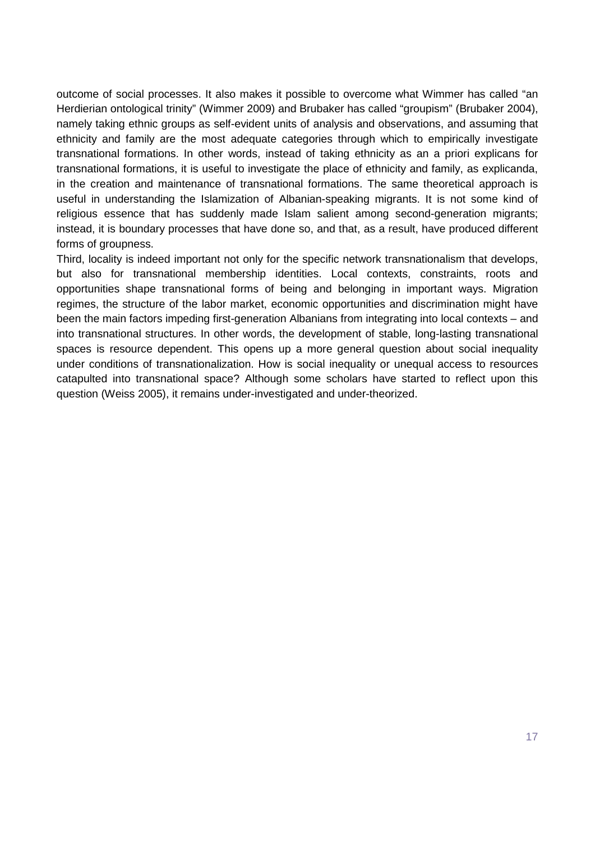outcome of social processes. It also makes it possible to overcome what Wimmer has called "an Herdierian ontological trinity" [\(Wimmer 2009\)](#page-19-19) and Brubaker has called "groupism" [\(Brubaker 2004\)](#page-17-17), namely taking ethnic groups as self-evident units of analysis and observations, and assuming that ethnicity and family are the most adequate categories through which to empirically investigate transnational formations. In other words, instead of taking ethnicity as an a priori explicans for transnational formations, it is useful to investigate the place of ethnicity and family, as explicanda, in the creation and maintenance of transnational formations. The same theoretical approach is useful in understanding the Islamization of Albanian-speaking migrants. It is not some kind of religious essence that has suddenly made Islam salient among second-generation migrants: instead, it is boundary processes that have done so, and that, as a result, have produced different forms of groupness.

Third, locality is indeed important not only for the specific network transnationalism that develops, but also for transnational membership identities. Local contexts, constraints, roots and opportunities shape transnational forms of being and belonging in important ways. Migration regimes, the structure of the labor market, economic opportunities and discrimination might have been the main factors impeding first-generation Albanians from integrating into local contexts – and into transnational structures. In other words, the development of stable, long-lasting transnational spaces is resource dependent. This opens up a more general question about social inequality under conditions of transnationalization. How is social inequality or unequal access to resources catapulted into transnational space? Although some scholars have started to reflect upon this question [\(Weiss 2005\)](#page-19-20), it remains under-investigated and under-theorized.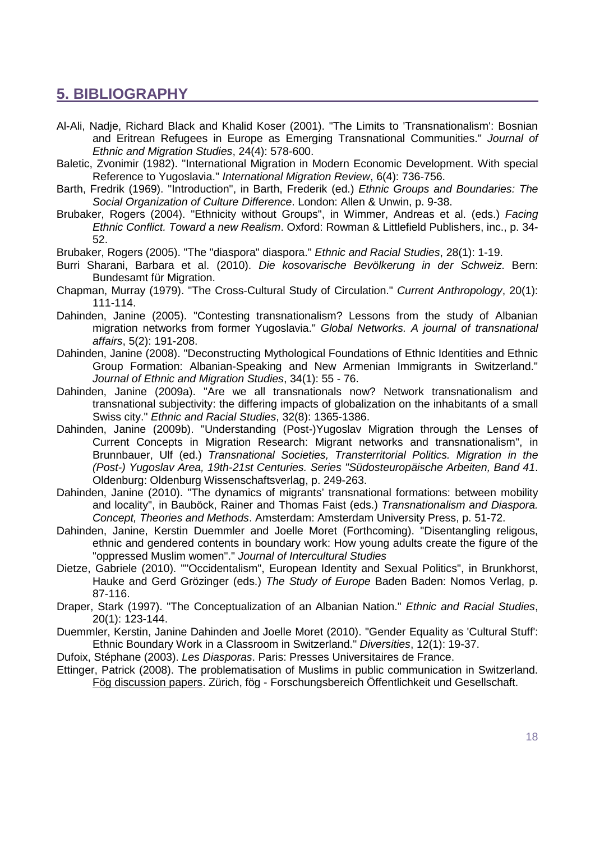### **5. BIBLIOGRAPHY**

- <span id="page-17-1"></span>Al-Ali, Nadje, Richard Black and Khalid Koser (2001). "The Limits to 'Transnationalism': Bosnian and Eritrean Refugees in Europe as Emerging Transnational Communities." *Journal of Ethnic and Migration Studies*, 24(4): 578-600.
- <span id="page-17-3"></span>Baletic, Zvonimir (1982). "International Migration in Modern Economic Development. With special Reference to Yugoslavia." *International Migration Review*, 6(4): 736-756.
- <span id="page-17-7"></span>Barth, Fredrik (1969). "Introduction", in Barth, Frederik (ed.) *Ethnic Groups and Boundaries: The Social Organization of Culture Difference*. London: Allen & Unwin, p. 9-38.
- <span id="page-17-17"></span>Brubaker, Rogers (2004). "Ethnicity without Groups", in Wimmer, Andreas et al. (eds.) *Facing Ethnic Conflict. Toward a new Realism*. Oxford: Rowman & Littlefield Publishers, inc., p. 34- 52.
- <span id="page-17-10"></span>Brubaker, Rogers (2005). "The "diaspora" diaspora." *Ethnic and Racial Studies*, 28(1): 1-19.
- <span id="page-17-6"></span>Burri Sharani, Barbara et al. (2010). *Die kosovarische Bevölkerung in der Schweiz*. Bern: Bundesamt für Migration.
- <span id="page-17-16"></span>Chapman, Murray (1979). "The Cross-Cultural Study of Circulation." *Current Anthropology*, 20(1): 111-114.
- <span id="page-17-9"></span>Dahinden, Janine (2005). "Contesting transnationalism? Lessons from the study of Albanian migration networks from former Yugoslavia." *Global Networks. A journal of transnational affairs*, 5(2): 191-208.
- <span id="page-17-5"></span>Dahinden, Janine (2008). "Deconstructing Mythological Foundations of Ethnic Identities and Ethnic Group Formation: Albanian-Speaking and New Armenian Immigrants in Switzerland." *Journal of Ethnic and Migration Studies*, 34(1): 55 - 76.
- <span id="page-17-2"></span>Dahinden, Janine (2009a). "Are we all transnationals now? Network transnationalism and transnational subjectivity: the differing impacts of globalization on the inhabitants of a small Swiss city." *Ethnic and Racial Studies*, 32(8): 1365-1386.
- <span id="page-17-4"></span>Dahinden, Janine (2009b). "Understanding (Post-)Yugoslav Migration through the Lenses of Current Concepts in Migration Research: Migrant networks and transnationalism", in Brunnbauer, Ulf (ed.) *Transnational Societies, Transterritorial Politics. Migration in the (Post-) Yugoslav Area, 19th-21st Centuries. Series "Südosteuropäische Arbeiten, Band 41*. Oldenburg: Oldenburg Wissenschaftsverlag, p. 249-263.
- <span id="page-17-0"></span>Dahinden, Janine (2010). "The dynamics of migrants' transnational formations: between mobility and locality", in Bauböck, Rainer and Thomas Faist (eds.) *Transnationalism and Diaspora. Concept, Theories and Methods*. Amsterdam: Amsterdam University Press, p. 51-72.
- <span id="page-17-12"></span>Dahinden, Janine, Kerstin Duemmler and Joelle Moret (Forthcoming). "Disentangling religous, ethnic and gendered contents in boundary work: How young adults create the figure of the "oppressed Muslim women"." *Journal of Intercultural Studies*
- <span id="page-17-13"></span>Dietze, Gabriele (2010). ""Occidentalism", European Identity and Sexual Politics", in Brunkhorst, Hauke and Gerd Grözinger (eds.) *The Study of Europe* Baden Baden: Nomos Verlag, p. 87-116.
- <span id="page-17-15"></span>Draper, Stark (1997). "The Conceptualization of an Albanian Nation." *Ethnic and Racial Studies*, 20(1): 123-144.
- <span id="page-17-8"></span>Duemmler, Kerstin, Janine Dahinden and Joelle Moret (2010). "Gender Equality as 'Cultural Stuff': Ethnic Boundary Work in a Classroom in Switzerland." *Diversities*, 12(1): 19-37.
- <span id="page-17-11"></span>Dufoix, Stéphane (2003). *Les Diasporas*. Paris: Presses Universitaires de France.
- <span id="page-17-14"></span>Ettinger, Patrick (2008). The problematisation of Muslims in public communication in Switzerland. Fög discussion papers. Zürich, fög - Forschungsbereich Öffentlichkeit und Gesellschaft.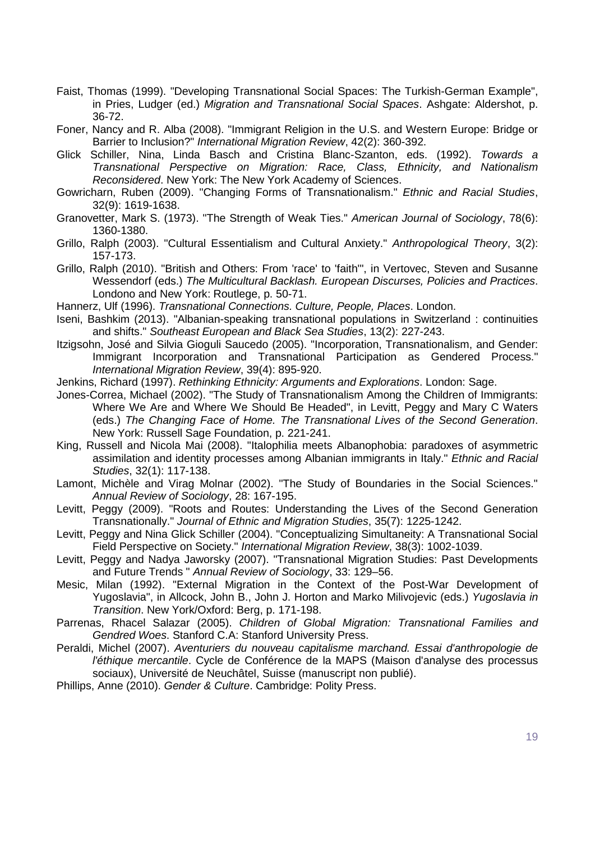- <span id="page-18-3"></span>Faist, Thomas (1999). "Developing Transnational Social Spaces: The Turkish-German Example", in Pries, Ludger (ed.) *Migration and Transnational Social Spaces*. Ashgate: Aldershot, p. 36-72.
- <span id="page-18-14"></span>Foner, Nancy and R. Alba (2008). "Immigrant Religion in the U.S. and Western Europe: Bridge or Barrier to Inclusion?" *International Migration Review*, 42(2): 360-392.
- <span id="page-18-0"></span>Glick Schiller, Nina, Linda Basch and Cristina Blanc-Szanton, eds. (1992). *Towards a Transnational Perspective on Migration: Race, Class, Ethnicity, and Nationalism Reconsidered*. New York: The New York Academy of Sciences.
- <span id="page-18-17"></span>Gowricharn, Ruben (2009). "Changing Forms of Transnationalism." *Ethnic and Racial Studies*, 32(9): 1619-1638.
- <span id="page-18-19"></span>Granovetter, Mark S. (1973). "The Strength of Weak Ties." *American Journal of Sociology*, 78(6): 1360-1380.
- <span id="page-18-9"></span>Grillo, Ralph (2003). "Cultural Essentialism and Cultural Anxiety." *Anthropological Theory*, 3(2): 157-173.
- <span id="page-18-15"></span>Grillo, Ralph (2010). "British and Others: From 'race' to 'faith'", in Vertovec, Steven and Susanne Wessendorf (eds.) *The Multicultural Backlash. European Discurses, Policies and Practices*. Londono and New York: Routlege, p. 50-71.
- <span id="page-18-4"></span>Hannerz, Ulf (1996). *Transnational Connections. Culture, People, Places*. London.
- <span id="page-18-11"></span>Iseni, Bashkim (2013). "Albanian-speaking transnational populations in Switzerland : continuities and shifts." *Southeast European and Black Sea Studies*, 13(2): 227-243.
- <span id="page-18-5"></span>Itzigsohn, José and Silvia Gioguli Saucedo (2005). "Incorporation, Transnationalism, and Gender: Immigrant Incorporation and Transnational Participation as Gendered Process." *International Migration Review*, 39(4): 895-920.
- <span id="page-18-8"></span>Jenkins, Richard (1997). *Rethinking Ethnicity: Arguments and Explorations*. London: Sage.
- <span id="page-18-12"></span>Jones-Correa, Michael (2002). "The Study of Transnationalism Among the Children of Immigrants: Where We Are and Where We Should Be Headed", in Levitt, Peggy and Mary C Waters (eds.) *The Changing Face of Home. The Transnational Lives of the Second Generation*. New York: Russell Sage Foundation, p. 221-241.
- <span id="page-18-10"></span>King, Russell and Nicola Mai (2008). "Italophilia meets Albanophobia: paradoxes of asymmetric assimilation and identity processes among Albanian immigrants in Italy." *Ethnic and Racial Studies*, 32(1): 117-138.
- <span id="page-18-20"></span>Lamont, Michèle and Virag Molnar (2002). "The Study of Boundaries in the Social Sciences." *Annual Review of Sociology*, 28: 167-195.
- <span id="page-18-13"></span>Levitt, Peggy (2009). "Roots and Routes: Understanding the Lives of the Second Generation Transnationally." *Journal of Ethnic and Migration Studies*, 35(7): 1225-1242.
- <span id="page-18-2"></span>Levitt, Peggy and Nina Glick Schiller (2004). "Conceptualizing Simultaneity: A Transnational Social Field Perspective on Society." *International Migration Review*, 38(3): 1002-1039.
- <span id="page-18-1"></span>Levitt, Peggy and Nadya Jaworsky (2007). "Transnational Migration Studies: Past Developments and Future Trends " *Annual Review of Sociology*, 33: 129–56.
- <span id="page-18-6"></span>Mesic, Milan (1992). "External Migration in the Context of the Post-War Development of Yugoslavia", in Allcock, John B., John J. Horton and Marko Milivojevic (eds.) *Yugoslavia in Transition*. New York/Oxford: Berg, p. 171-198.
- <span id="page-18-7"></span>Parrenas, Rhacel Salazar (2005). *Children of Global Migration: Transnational Families and Gendred Woes*. Stanford C.A: Stanford University Press.
- <span id="page-18-18"></span>Peraldi, Michel (2007). *Aventuriers du nouveau capitalisme marchand. Essai d'anthropologie de l'éthique mercantile*. Cycle de Conférence de la MAPS (Maison d'analyse des processus sociaux), Université de Neuchâtel, Suisse (manuscript non publié).
- <span id="page-18-16"></span>Phillips, Anne (2010). *Gender & Culture*. Cambridge: Polity Press.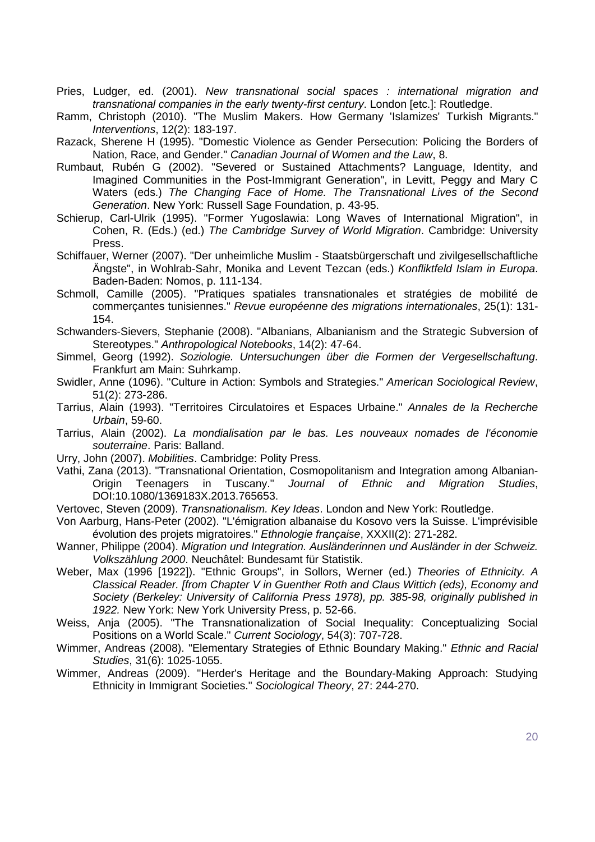- <span id="page-19-1"></span>Pries, Ludger, ed. (2001). *New transnational social spaces : international migration and transnational companies in the early twenty-first century*. London [etc.]: Routledge.
- <span id="page-19-13"></span>Ramm, Christoph (2010). "The Muslim Makers. How Germany 'Islamizes' Turkish Migrants." *Interventions*, 12(2): 183-197.
- <span id="page-19-11"></span>Razack, Sherene H (1995). "Domestic Violence as Gender Persecution: Policing the Borders of Nation, Race, and Gender." *Canadian Journal of Women and the Law*, 8.
- <span id="page-19-9"></span>Rumbaut, Rubén G (2002). "Severed or Sustained Attachments? Language, Identity, and Imagined Communities in the Post-Immigrant Generation", in Levitt, Peggy and Mary C Waters (eds.) *The Changing Face of Home. The Transnational Lives of the Second Generation*. New York: Russell Sage Foundation, p. 43-95.
- <span id="page-19-2"></span>Schierup, Carl-Ulrik (1995). "Former Yugoslawia: Long Waves of International Migration", in Cohen, R. (Eds.) (ed.) *The Cambridge Survey of World Migration*. Cambridge: University Press.
- <span id="page-19-12"></span>Schiffauer, Werner (2007). "Der unheimliche Muslim - Staatsbürgerschaft und zivilgesellschaftliche Ängste", in Wohlrab-Sahr, Monika and Levent Tezcan (eds.) *Konfliktfeld Islam in Europa*. Baden-Baden: Nomos, p. 111-134.
- <span id="page-19-16"></span>Schmoll, Camille (2005). "Pratiques spatiales transnationales et stratégies de mobilité de commerçantes tunisiennes." *Revue européenne des migrations internationales*, 25(1): 131- 154.
- <span id="page-19-7"></span>Schwanders-Sievers, Stephanie (2008). "Albanians, Albanianism and the Strategic Subversion of Stereotypes." *Anthropological Notebooks*, 14(2): 47-64.
- <span id="page-19-4"></span>Simmel, Georg (1992). *Soziologie. Untersuchungen über die Formen der Vergesellschaftung*. Frankfurt am Main: Suhrkamp.
- <span id="page-19-10"></span>Swidler, Anne (1096). "Culture in Action: Symbols and Strategies." *American Sociological Review*, 51(2): 273-286.
- <span id="page-19-15"></span>Tarrius, Alain (1993). "Territoires Circulatoires et Espaces Urbaine." *Annales de la Recherche Urbain*, 59-60.
- <span id="page-19-17"></span>Tarrius, Alain (2002). *La mondialisation par le bas. Les nouveaux nomades de l'économie souterraine*. Paris: Balland.
- <span id="page-19-14"></span>Urry, John (2007). *Mobilities*. Cambridge: Polity Press.
- <span id="page-19-8"></span>Vathi, Zana (2013). "Transnational Orientation, Cosmopolitanism and Integration among Albanian-Origin Teenagers in Tuscany." *Journal of Ethnic and Migration Studies*, DOI:10.1080/1369183X.2013.765653.
- <span id="page-19-0"></span>Vertovec, Steven (2009). *Transnationalism. Key Ideas*. London and New York: Routledge.
- <span id="page-19-3"></span>Von Aarburg, Hans-Peter (2002). "L'émigration albanaise du Kosovo vers la Suisse. L'imprévisible évolution des projets migratoires." *Ethnologie française*, XXXII(2): 271-282.
- <span id="page-19-6"></span>Wanner, Philippe (2004). *Migration und Integration. Ausländerinnen und Ausländer in der Schweiz. Volkszählung 2000*. Neuchâtel: Bundesamt für Statistik.
- <span id="page-19-18"></span>Weber, Max (1996 [1922]). "Ethnic Groups", in Sollors, Werner (ed.) *Theories of Ethnicity. A Classical Reader. [from Chapter V in Guenther Roth and Claus Wittich (eds), Economy and Society (Berkeley: University of California Press 1978), pp. 385-98, originally published in 1922.* New York: New York University Press, p. 52-66.
- <span id="page-19-20"></span>Weiss, Anja (2005). "The Transnationalization of Social Inequality: Conceptualizing Social Positions on a World Scale." *Current Sociology*, 54(3): 707-728.
- <span id="page-19-5"></span>Wimmer, Andreas (2008). "Elementary Strategies of Ethnic Boundary Making." *Ethnic and Racial Studies*, 31(6): 1025-1055.
- <span id="page-19-19"></span>Wimmer, Andreas (2009). "Herder's Heritage and the Boundary-Making Approach: Studying Ethnicity in Immigrant Societies." *Sociological Theory*, 27: 244-270.